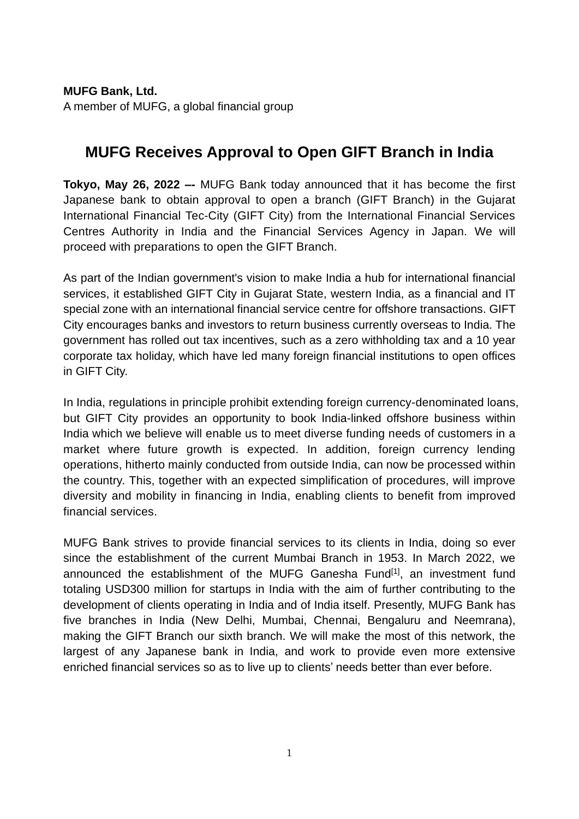**MUFG Bank, Ltd.** A member of MUFG, a global financial group

## **MUFG Receives Approval to Open GIFT Branch in India**

**Tokyo, May 26, 2022 –-** MUFG Bank today announced that it has become the first Japanese bank to obtain approval to open a branch (GIFT Branch) in the Gujarat International Financial Tec-City (GIFT City) from the International Financial Services Centres Authority in India and the Financial Services Agency in Japan. We will proceed with preparations to open the GIFT Branch.

As part of the Indian government's vision to make India a hub for international financial services, it established GIFT City in Gujarat State, western India, as a financial and IT special zone with an international financial service centre for offshore transactions. GIFT City encourages banks and investors to return business currently overseas to India. The government has rolled out tax incentives, such as a zero withholding tax and a 10 year corporate tax holiday, which have led many foreign financial institutions to open offices in GIFT City.

In India, regulations in principle prohibit extending foreign currency-denominated loans, but GIFT City provides an opportunity to book India-linked offshore business within India which we believe will enable us to meet diverse funding needs of customers in a market where future growth is expected. In addition, foreign currency lending operations, hitherto mainly conducted from outside India, can now be processed within the country. This, together with an expected simplification of procedures, will improve diversity and mobility in financing in India, enabling clients to benefit from improved financial services.

MUFG Bank strives to provide financial services to its clients in India, doing so ever since the establishment of the current Mumbai Branch in 1953. In March 2022, we announced the establishment of the MUFG Ganesha Fund<sup>[1]</sup>, an investment fund totaling USD300 million for startups in India with the aim of further contributing to the development of clients operating in India and of India itself. Presently, MUFG Bank has five branches in India (New Delhi, Mumbai, Chennai, Bengaluru and Neemrana), making the GIFT Branch our sixth branch. We will make the most of this network, the largest of any Japanese bank in India, and work to provide even more extensive enriched financial services so as to live up to clients' needs better than ever before.